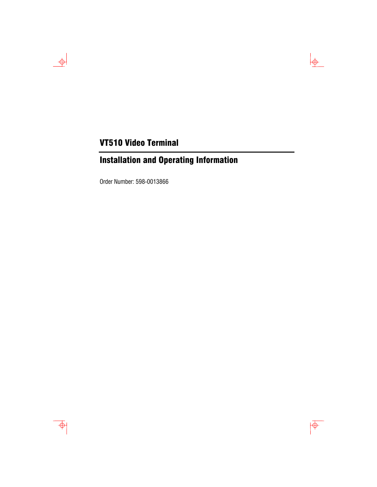# VT510 Video Terminal

# Installation and Operating Information

Order Number: 598-0013866



 $\rightarrow$ 

 $\frac{1}{2}$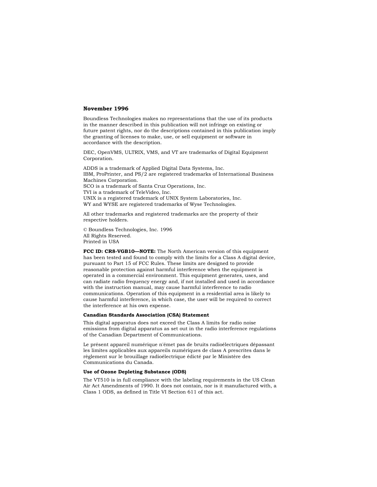#### **November 1996**

Boundless Technologies makes no representations that the use of its products in the manner described in this publication will not infringe on existing or future patent rights, nor do the descriptions contained in this publication imply the granting of licenses to make, use, or sell equipment or software in accordance with the description.

DEC, OpenVMS, ULTRIX, VMS, and VT are trademarks of Digital Equipment Corporation.

ADDS is a trademark of Applied Digital Data Systems, Inc. IBM, ProPrinter, and PS/2 are registered trademarks of International Business Machines Corporation. SCO is a trademark of Santa Cruz Operations, Inc. TVI is a trademark of TeleVideo, Inc. UNIX is a registered trademark of UNIX System Laboratories, Inc. WY and WYSE are registered trademarks of Wyse Technologies.

All other trademarks and registered trademarks are the property of their respective holders.

© Boundless Technologies, Inc. 1996 All Rights Reserved. Printed in USA

**FCC ID: CR8-VGB10—NOTE:** The North American version of this equipment has been tested and found to comply with the limits for a Class A digital device, pursuant to Part 15 of FCC Rules. These limits are designed to provide reasonable protection against harmful interference when the equipment is operated in a commercial environment. This equipment generates, uses, and can radiate radio frequency energy and, if not installed and used in accordance with the instruction manual, may cause harmful interference to radio communications. Operation of this equipment in a residential area is likely to cause harmful interference, in which case, the user will be required to correct the interference at his own expense.

#### **Canadian Standards Association (CSA) Statement**

This digital apparatus does not exceed the Class A limits for radio noise emissions from digital apparatus as set out in the radio interference regulations of the Canadian Department of Communications.

Le présent appareil numérique n'émet pas de bruits radioélectriques dépassant les limites applicables aux appareils numériques de class A prescrites dans le règlement sur le brouillage radioélectrique édicté par le Ministère des Communications du Canada.

#### **Use of Ozone Depleting Substance (ODS)**

The VT510 is in full compliance with the labeling requirements in the US Clean Air Act Amendments of 1990. It does not contain, nor is it manufactured with, a Class 1 ODS, as defined in Title VI Section 611 of this act.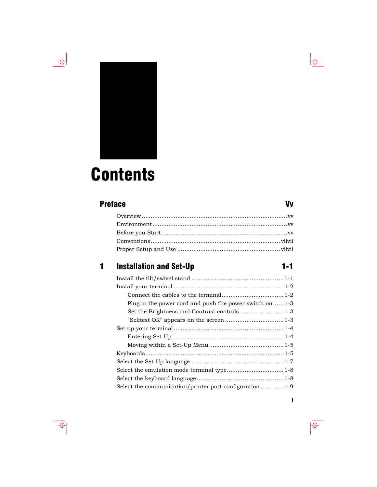



# **Contents**

# [Preface](#page-6-0) Vv

# 1 Installation and Set-Up 1-1

| Plug in the power cord and push the power switch on $1-3$ |
|-----------------------------------------------------------|
|                                                           |
|                                                           |
|                                                           |
|                                                           |
|                                                           |
|                                                           |
|                                                           |
|                                                           |
|                                                           |
| Select the communication/printer port configuration  1-9  |

# i

 $\overline{\bigtriangledown}$ 

 $\frac{1}{\Phi}$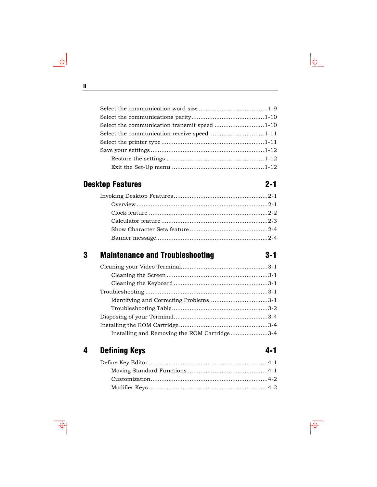| Select the communication transmit speed 1-10 |  |
|----------------------------------------------|--|
| Select the communication receive speed1-11   |  |
|                                              |  |
|                                              |  |
|                                              |  |
|                                              |  |

# Desktop Features 2-1

# 3 Maintenance and Troubleshooting 3-1

| Identifying and Correcting Problems3-1       |  |
|----------------------------------------------|--|
|                                              |  |
|                                              |  |
|                                              |  |
| Installing and Removing the ROM Cartridge3-4 |  |

# 4 Defining Keys 4-1

# ii

 $\frac{\phi}{\phi}$ 

 $\downarrow$ 

# $\overline{\overline{\Phi}}$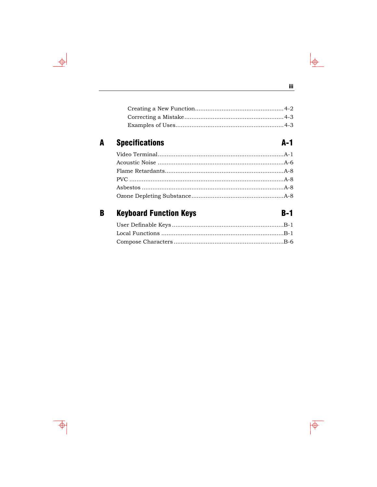#### **Specifications**  $\mathbf{A}$

#### **Keyboard Function Keys**  $B-1$  $\, {\bf B} \,$



 $A-1$ 

 $\frac{1}{\frac{1}{2}}$ 

 $\overline{\phi}$ 

 $\Rightarrow$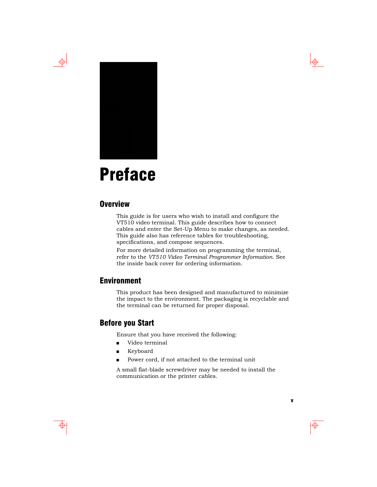<span id="page-6-0"></span>



# **Preface**

#### **Overview**

This guide is for users who wish to install and configure the VT510 video terminal. This guide describes how to connect cables and enter the Set-Up Menu to make changes, as needed. This guide also has reference tables for troubleshooting, specifications, and compose sequences.

For more detailed information on programming the terminal, refer to the *VT510 Video Terminal Programmer Information*. See the inside back cover for ordering information.

## Environment

This product has been designed and manufactured to minimize the impact to the environment. The packaging is recyclable and the terminal can be returned for proper disposal.

#### Before you Start

Ensure that you have received the following:

- **u** Video terminal
- **Keyboard**
- Power cord, if not attached to the terminal unit

A small flat-blade screwdriver may be needed to install the communication or the printer cables.

v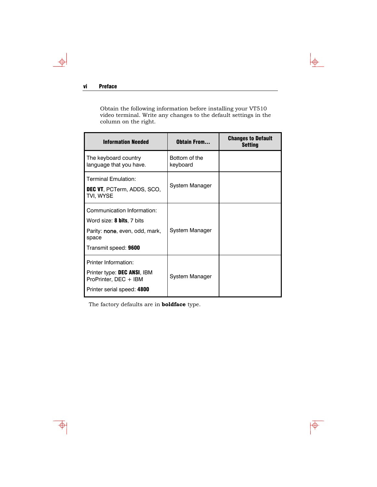#### vi Preface

 $\rightarrow$ 

Obtain the following information before installing your VT510 video terminal. Write any changes to the default settings in the column on the right.

 $\downarrow \phi$ 

 $\overline{\overline{\Phi}}$ 

| <b>Information Needed</b>                                                                                                          | <b>Obtain From</b>        | <b>Changes to Default</b><br><b>Setting</b> |
|------------------------------------------------------------------------------------------------------------------------------------|---------------------------|---------------------------------------------|
| The keyboard country<br>language that you have.                                                                                    | Bottom of the<br>keyboard |                                             |
| Terminal Emulation:<br>DEC VT, PCTerm, ADDS, SCO,<br>TVI, WYSE                                                                     | System Manager            |                                             |
| Communication Information:<br>Word size: <b>8 bits</b> , 7 bits<br>Parity: none, even, odd, mark,<br>space<br>Transmit speed: 9600 | System Manager            |                                             |
| Printer Information:<br>Printer type: DEC ANSI, IBM<br>ProPrinter, DEC + IBM<br>Printer serial speed: 4800                         | System Manager            |                                             |

The factory defaults are in **boldface** type.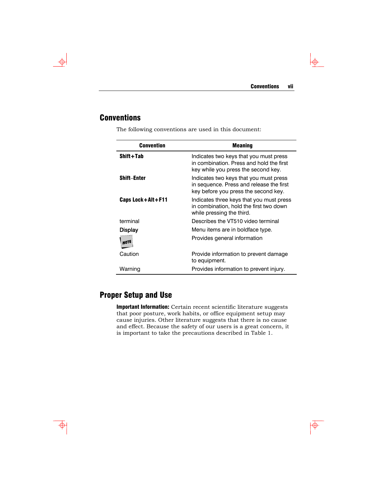$\downarrow \oplus$ 

 $\overline{\overline{\Phi}}$ 

# **Conventions**

<span id="page-8-0"></span> $\rightarrow$ 

 $\overline{\bigoplus}$ 

The following conventions are used in this document:

| <b>Convention</b>  | <b>Meaning</b>                                                                                                             |
|--------------------|----------------------------------------------------------------------------------------------------------------------------|
| Shift+Tab          | Indicates two keys that you must press<br>in combination. Press and hold the first<br>key while you press the second key.  |
| <b>Shift-Enter</b> | Indicates two keys that you must press<br>in sequence. Press and release the first<br>key before you press the second key. |
| Caps Lock+Alt+F11  | Indicates three keys that you must press<br>in combination, hold the first two down<br>while pressing the third.           |
| terminal           | Describes the VT510 video terminal                                                                                         |
| Display            | Menu items are in boldface type.                                                                                           |
| NOTE               | Provides general information                                                                                               |
| Caution            | Provide information to prevent damage<br>to equipment.                                                                     |
| Warning            | Provides information to prevent injury.                                                                                    |

# Proper Setup and Use

Important Information: Certain recent scientific literature suggests that poor posture, work habits, or office equipment setup may cause injuries. Other literature suggests that there is no cause and effect. Because the safety of our users is a great concern, it is important to take the precautions described in Table 1.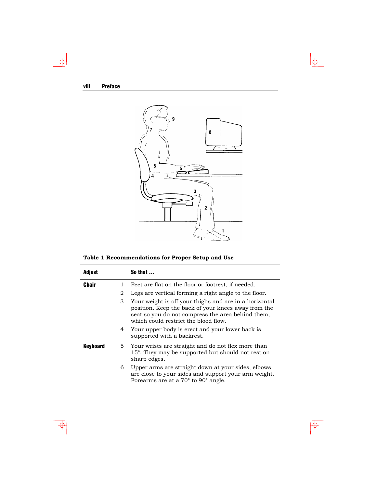$\frac{\phi}{\phi}$ 

⊕



 $\frac{1}{2}$ 

 $\overline{\overline{\Phi}}$ 

**Table 1 Recommendations for Proper Setup and Use** 

| Adjust   |   | So that                                                                                                                                                                                                    |
|----------|---|------------------------------------------------------------------------------------------------------------------------------------------------------------------------------------------------------------|
| Chair    | 1 | Feet are flat on the floor or footrest, if needed.                                                                                                                                                         |
|          | 2 | Legs are vertical forming a right angle to the floor.                                                                                                                                                      |
|          | 3 | Your weight is off your thighs and are in a horizontal<br>position. Keep the back of your knees away from the<br>seat so you do not compress the area behind them,<br>which could restrict the blood flow. |
|          | 4 | Your upper body is erect and your lower back is<br>supported with a backrest.                                                                                                                              |
| Keyboard |   | 5 Your wrists are straight and do not flex more than<br>15°. They may be supported but should not rest on<br>sharp edges.                                                                                  |
|          | 6 | Upper arms are straight down at your sides, elbows<br>are close to your sides and support your arm weight.<br>Forearms are at a $70^{\circ}$ to $90^{\circ}$ angle.                                        |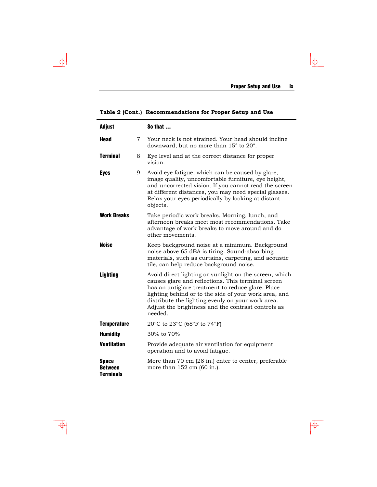$\frac{1}{\Phi}$ 

 $\overline{\phi}$ 

| <b>Adjust</b>                                      |   | So that $\dots$                                                                                                                                                                                                                                                                                                                                  |
|----------------------------------------------------|---|--------------------------------------------------------------------------------------------------------------------------------------------------------------------------------------------------------------------------------------------------------------------------------------------------------------------------------------------------|
| Head                                               | 7 | Your neck is not strained. Your head should incline<br>downward, but no more than $15^{\circ}$ to $20^{\circ}$ .                                                                                                                                                                                                                                 |
| <b>Terminal</b>                                    | 8 | Eye level and at the correct distance for proper<br>vision.                                                                                                                                                                                                                                                                                      |
| <b>Eyes</b>                                        | 9 | Avoid eye fatigue, which can be caused by glare,<br>image quality, uncomfortable furniture, eye height,<br>and uncorrected vision. If you cannot read the screen<br>at different distances, you may need special glasses.<br>Relax your eyes periodically by looking at distant<br>objects.                                                      |
| <b>Work Breaks</b>                                 |   | Take periodic work breaks. Morning, lunch, and<br>afternoon breaks meet most recommendations. Take<br>advantage of work breaks to move around and do<br>other movements.                                                                                                                                                                         |
| <b>Noise</b>                                       |   | Keep background noise at a minimum. Background<br>noise above 65 dBA is tiring. Sound-absorbing<br>materials, such as curtains, carpeting, and acoustic<br>tile, can help reduce background noise.                                                                                                                                               |
| <b>Lighting</b>                                    |   | Avoid direct lighting or sunlight on the screen, which<br>causes glare and reflections. This terminal screen<br>has an antiglare treatment to reduce glare. Place<br>lighting behind or to the side of your work area, and<br>distribute the lighting evenly on your work area.<br>Adjust the brightness and the contrast controls as<br>needed. |
| <b>Temperature</b>                                 |   | 20°C to 23°C (68°F to 74°F)                                                                                                                                                                                                                                                                                                                      |
| <b>Humidity</b>                                    |   | 30% to 70%                                                                                                                                                                                                                                                                                                                                       |
| <b>Ventilation</b>                                 |   | Provide adequate air ventilation for equipment<br>operation and to avoid fatigue.                                                                                                                                                                                                                                                                |
| <b>Space</b><br><b>Between</b><br><b>Terminals</b> |   | More than 70 cm (28 in.) enter to center, preferable<br>more than 152 cm (60 in.).                                                                                                                                                                                                                                                               |

**Table 2 (Cont.) Recommendations for Proper Setup and Use** 

 $\overline{\Phi}$ 

 $\rightarrow$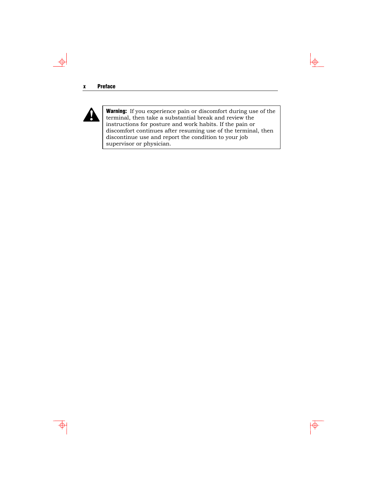#### x Preface



 $\Rightarrow$ 

Warning: If you experience pain or discomfort during use of the terminal, then take a substantial break and review the instructions for posture and work habits. If the pain or discomfort continues after resuming use of the terminal, then discontinue use and report the condition to your job supervisor or physician.

 $\downarrow \phi$ 

 $\overline{\overline{\Phi}}$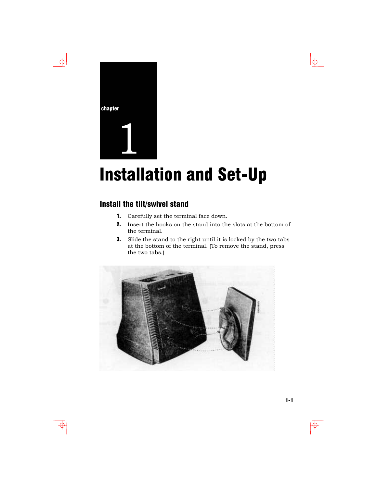

 $\Rightarrow$ 

# **Installation and Set-Up**

# Install the tilt/swivel stand

- 1. Carefully set the terminal face down.
- 2. Insert the hooks on the stand into the slots at the bottom of the terminal.
- 3. Slide the stand to the right until it is locked by the two tabs at the bottom of the terminal. (To remove the stand, press the two tabs.)



 $\color{red} \Phi$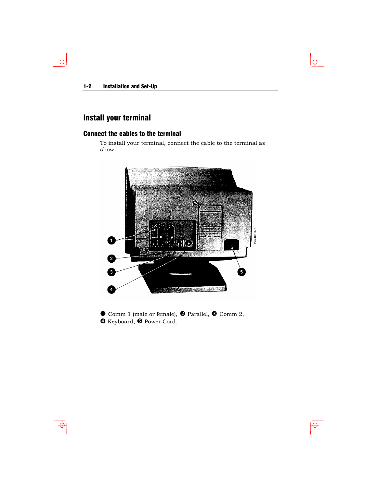$\rightarrow$ 

# Install your terminal

#### Connect the cables to the terminal

To install your terminal, connect the cable to the terminal as shown.

 $\downarrow \phi$ 

 $\overline{\Phi}$ 



**O** Comm 1 (male or female), **O** Parallel, **O** Comm 2, **O** Keyboard, **O** Power Cord.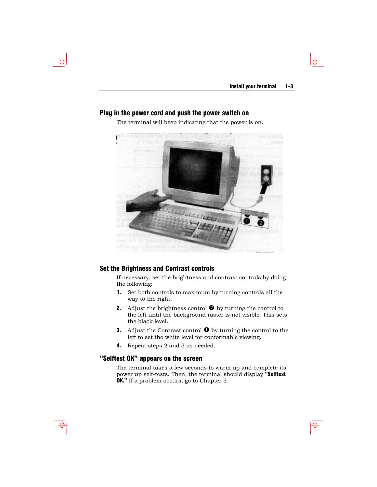$\color{red} \Phi$ 

#### Plug in the power cord and push the power switch on

The terminal will beep indicating that the power is on.



#### Set the Brightness and Contrast controls

If necessary, set the brightness and contrast controls by doing the following:

- 1. Set both controls to maximum by turning controls all the way to the right.
- 2. Adjust the brightness control  $\bullet$  by turning the control to the left until the background raster is not visible. This sets the black level.
- **3.** Adjust the Contrast control  $\bullet$  by turning the control to the left to set the white level for conformable viewing.
- 4. Repeat steps 2 and 3 as needed.

#### "Selftest OK" appears on the screen

The terminal takes a few seconds to warm up and complete its power up self-tests. Then, the terminal should display "Selftest **OK.**" If a problem occurs, go to Chapter 3.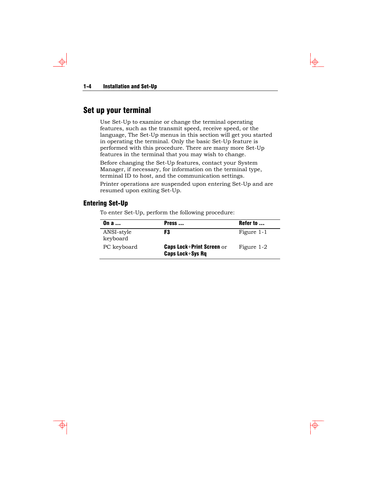$\rightarrow$ 

# Set up your terminal

Use Set-Up to examine or change the terminal operating features, such as the transmit speed, receive speed, or the language, The Set-Up menus in this section will get you started in operating the terminal. Only the basic Set-Up feature is performed with this procedure. There are many more Set-Up features in the terminal that you may wish to change.

Before changing the Set-Up features, contact your System Manager, if necessary, for information on the terminal type, terminal ID to host, and the communication settings.

Printer operations are suspended upon entering Set-Up and are resumed upon exiting Set-Up.

#### Entering Set-Up

To enter Set-Up, perform the following procedure:

| On a                   | Press                                                       | Refer to   |
|------------------------|-------------------------------------------------------------|------------|
| ANSI-style<br>keyboard | F3                                                          | Figure 1-1 |
| PC keyboard            | <b>Caps Lock+Print Screen or</b><br><b>Caps Lock+Sys Rg</b> | Figure 1-2 |

 $\color{red} \bigoplus$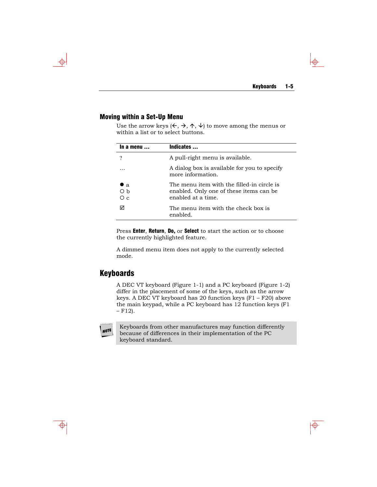$\bigoplus$ 

#### Moving within a Set-Up Menu

Use the arrow keys  $(\Leftarrow, \Rightarrow, \uparrow, \downarrow)$  to move among the menus or within a list or to select buttons.

| In a menu               | Indicates                                                                                                    |
|-------------------------|--------------------------------------------------------------------------------------------------------------|
|                         | A pull-right menu is available.                                                                              |
|                         | A dialog box is available for you to specify<br>more information.                                            |
| $\bullet$ a<br>Оh<br>Οc | The menu item with the filled-in circle is<br>enabled. Only one of these items can be.<br>enabled at a time. |
| 罓                       | The menu item with the check box is<br>enabled.                                                              |

Press Enter, Return, Do, or Select to start the action or to choose the currently highlighted feature.

A dimmed menu item does not apply to the currently selected mode.

## Keyboards

A DEC VT keyboard (Figure 1-1) and a PC keyboard (Figure 1-2) differ in the placement of some of the keys, such as the arrow keys. A DEC VT keyboard has 20 function keys (F1 – F20) above the main keypad, while a PC keyboard has 12 function keys (F1  $- F12$ ).

# **NOTE**

Keyboards from other manufactures may function differently because of differences in their implementation of the PC keyboard standard.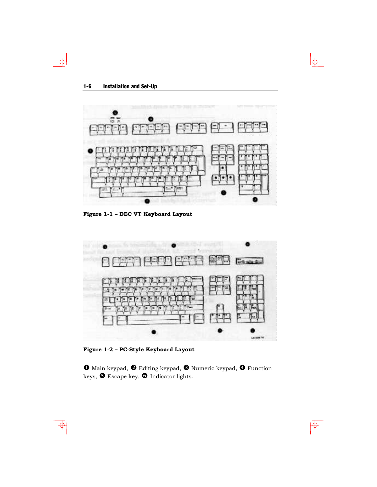$\Rightarrow$ 

 $\Phi$ 



 $\downarrow \phi$ 

 $\overline{\phi}$ 

**Figure 1-1 – DEC VT Keyboard Layout** 



**Figure 1-2 – PC-Style Keyboard Layout** 

 $\bm{0}$  Main keypad,  $\bm{\Theta}$  Editing keypad,  $\bm{\Theta}$  Numeric keypad,  $\bm{\Theta}$  Function keys,  $\pmb{\Theta}$  Escape key,  $\pmb{\Theta}$  Indicator lights.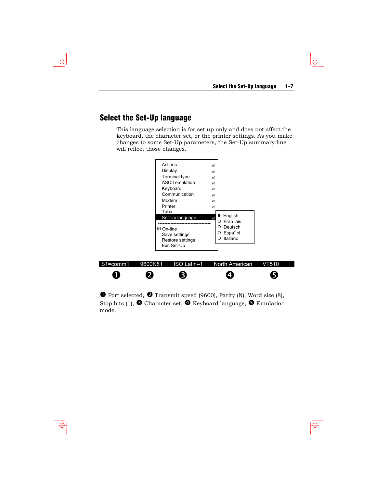$\overline{\overline{\Phi}}$ 

# Select the Set-Up language

This language selection is for set up only and does not affect the keyboard, the character set, or the printer settings. As you make changes to some Set-Up parameters, the Set-Up summary line will reflect those changes.



 $\bullet$  Port selected,  $\bullet$  Transmit speed (9600), Parity (N), Word size (8), Stop bits (1),  $\bullet$  Character set,  $\bullet$  Keyboard language,  $\bullet$  Emulation mode.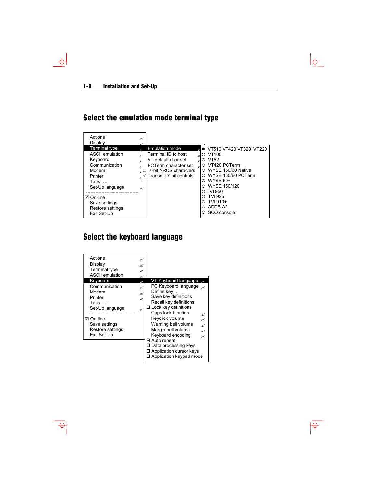$\bigoplus$ 

# Select the emulation mode terminal type



# Select the keyboard language

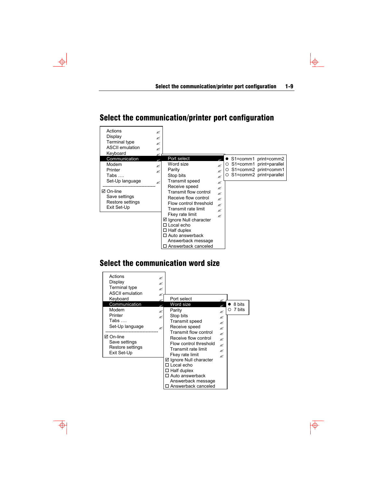$\downarrow$ 

 $\overline{\phi}$ 

# Select the communication/printer port configuration

 $\rightarrow$ 

 $\overline{\Phi}$ 

| Actions<br>×<br>Display<br>×<br>Terminal type<br>×<br><b>ASCII</b> emulation<br>×<br>Keyboard<br>≪<br>Communication            | Port select                                                                                                                                                                                                                         |                                                                                        |                                                                                                          |
|--------------------------------------------------------------------------------------------------------------------------------|-------------------------------------------------------------------------------------------------------------------------------------------------------------------------------------------------------------------------------------|----------------------------------------------------------------------------------------|----------------------------------------------------------------------------------------------------------|
| Modem<br>≪<br>Printer<br>≪<br>Tabs ….<br>Set-Up language<br>≪<br>⊠ On-line<br>Save settings<br>Restore settings<br>Exit Set-Up | Word size<br>Parity<br>Stop bits<br>Transmit speed<br>Receive speed<br>Transmit flow control<br>Receive flow control<br>Flow control threshold<br>Transmit rate limit<br>Fkey rate limit<br>☑ Ignore Null character<br>□ Local echo | ×<br>ø<br>ø<br>≪<br>$\mathbb{\mathbb{R}}$<br>$\mathbb{\mathbb{R}}$<br>×<br>×<br>K<br>K | S1=comm1 print=comm2<br>○ S1=comm1 print=parallel<br>O S1=comm2 print=comm1<br>O S1=comm2 print=parallel |
|                                                                                                                                | $\Box$ Half duplex<br>□ Auto answerback<br>Answerback message<br>□ Answerback canceled                                                                                                                                              |                                                                                        |                                                                                                          |

# Select the communication word size

| Actions<br>Display<br>Terminal type<br><b>ASCII emulation</b> | ×<br>×<br>×<br>ø |                                         |                       |             |
|---------------------------------------------------------------|------------------|-----------------------------------------|-----------------------|-------------|
| Keyboard                                                      |                  | Port select                             |                       |             |
| Communication                                                 |                  | Word size                               |                       | 8 bits      |
| Modem                                                         | ø                | Parity                                  | K                     | 7 bits<br>O |
| Printer                                                       | ø                | Stop bits                               | K                     |             |
| $\mathsf{Tabs}$                                               |                  | Transmit speed                          | K                     |             |
| Set-Up language                                               | K                | Receive speed                           | K                     |             |
| ⊠ On-line                                                     |                  | Transmit flow control                   | $\mathbb{\mathbb{R}}$ |             |
| Save settings                                                 |                  | Receive flow control                    | ×                     |             |
| Restore settings                                              |                  | Flow control threshold                  | ×                     |             |
| Exit Set-Up                                                   |                  | Transmit rate limit                     | K                     |             |
|                                                               |                  | Fkey rate limit                         | $\mathbb{\mathbb{R}}$ |             |
|                                                               |                  | ☑ Ignore Null character<br>□ Local echo |                       |             |
|                                                               |                  | $\square$ Half duplex                   |                       |             |
|                                                               |                  | □ Auto answerback                       |                       |             |
|                                                               |                  | Answerback message                      |                       |             |
|                                                               |                  | Answerback canceled                     |                       |             |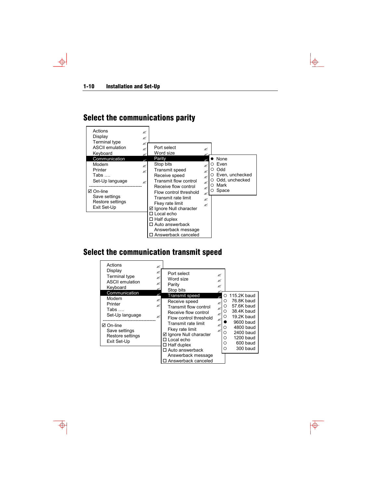<span id="page-21-0"></span> $\Rightarrow$ 

# Select the communications parity



# Select the communication transmit speed

| Actions<br>Display<br><b>Terminal type</b><br><b>ASCII emulation</b><br>Keyboard | ≤<br>≤<br>≤<br>≝<br>≪ | Port select<br>Word size<br>Parity<br>Stop bits | K<br>×<br>K |                    |                          |
|----------------------------------------------------------------------------------|-----------------------|-------------------------------------------------|-------------|--------------------|--------------------------|
| Communication<br>Modem                                                           | ≪                     | Transmit speed                                  |             | O                  | 115.2K baud              |
| Printer                                                                          | ≤<br>≤                | Receive speed<br>Transmit flow control          | ø           | O<br>O             | 76.8K baud<br>57.6K baud |
| Tabs $\ldots$<br>Set-Up language                                                 | ≪                     | Receive flow control                            | z<br>z      | $\circ$<br>$\circ$ | 38.4K baud<br>19.2K baud |
|                                                                                  |                       | Flow control threshold<br>Transmit rate limit   | ø           |                    | 9600 baud                |
| ⊠ On-line<br>Save settings                                                       |                       | Fkey rate limit                                 | ø<br>ø      | $\circ$<br>O       | 4800 baud<br>2400 baud   |
| Restore settings                                                                 |                       | ☑ Ignore Null character<br>□ Local echo         |             | O                  | 1200 baud                |
| Exit Set-Up                                                                      |                       | $\Box$ Half duplex                              |             | O                  | 600 baud                 |
|                                                                                  |                       | $\Box$ Auto answerback                          |             | O                  | 300 baud                 |
|                                                                                  |                       | Answerback message<br>Answerback canceled       |             |                    |                          |
|                                                                                  |                       |                                                 |             |                    |                          |

 $\Phi$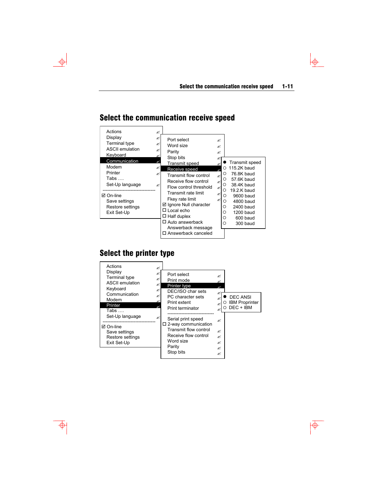#### Actions  $\blacksquare$ Display  $\blacksquare$ Terminal type  $\blacksquare$ ASCII emulation  $\mathbb{R}$ **Keyboard** Communication Modem  $\mathbb Z$ Printer 20 Tabs …. Set-Up language ----------------------------------  $\boxtimes$  On-line Save settings Restore settings Exit Set-Up Port select  $\mathbb{R}$ Word size  $\blacksquare$ Parity  $\blacksquare$ Stop bits  $\otimes$  Transmit speed " Receive speed Transmit flow control  $\approx$ Receive flow control  $\qquad \mathbb{R}$ Flow control threshold  $\mathbb{R}$ Transmit rate limit  $\blacksquare$ Fkey rate limit **Ø Ignore Null character**  Local echo  $\Box$  Half duplex Auto answerback Answerback message  $\Box$ <br> <br> Answerback canceled **•** Transmit speed  $O$  115.2K baud  $\circ$  76.8K baud<br> $\circ$  57.6K baud { 57.6K baud  $\circ$  38.4K baud<br> $\circ$  19.2.K baud  $\circ$  19.2.K baud<br> $\circ$  9600 baud 0 9600 baud<br>0 4800 baud { 4800 baud  $\circ$  2400 baud<br> $\circ$  1200 baud  $\circ$  1200 baud<br> $\circ$  600 baud  $\circ$  600 baud<br> $\circ$  300 baud { 300 baud

# Select the communication receive speed

# Select the printer type

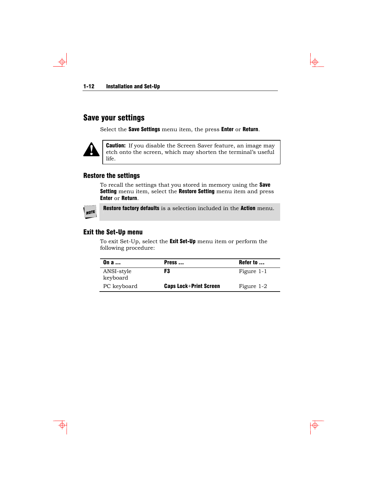# Save your settings

Select the Save Settings menu item, the press Enter or Return.



 $\downarrow$ 

**Caution:** If you disable the Screen Saver feature, an image may etch onto the screen, which may shorten the terminal's useful life.

#### Restore the settings

To recall the settings that you stored in memory using the Save Setting menu item, select the Restore Setting menu item and press Enter or Return.



Restore factory defaults is a selection included in the Action menu.

#### Exit the Set-Up menu

To exit Set-Up, select the Exit Set-Up menu item or perform the following procedure:

| On $a$                 | Press                         | Refer to   |
|------------------------|-------------------------------|------------|
| ANSI-style<br>keyboard | F3                            | Figure 1-1 |
| PC keyboard            | <b>Caps Lock+Print Screen</b> | Figure 1-2 |

 $\overline{\overline{\Phi}}$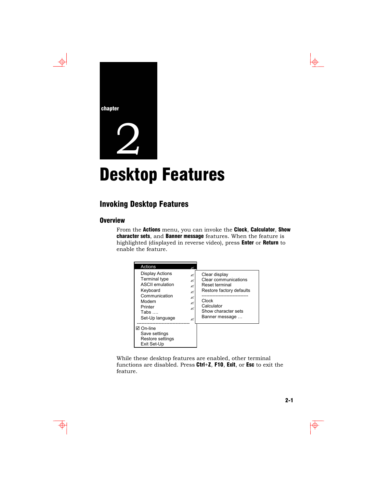



# **Desktop Features**

# Invoking Desktop Features

#### **Overview**

From the Actions menu, you can invoke the Clock, Calculator, Show character sets, and Banner message features. When the feature is highlighted (displayed in reverse video), press Enter or Return to enable the feature.



While these desktop features are enabled, other terminal functions are disabled. Press Ctrl+Z, F10, Exit, or Esc to exit the feature.

 $\oplus$ 

 $\overline{\bigoplus}$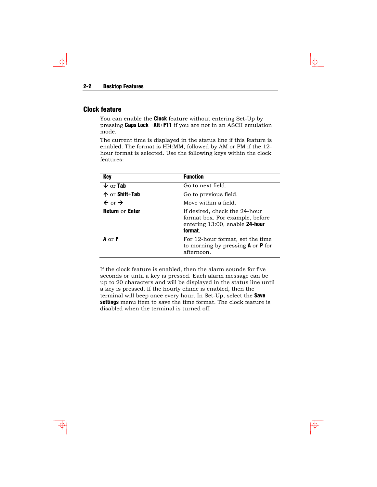#### Clock feature

 $\phi$ 

You can enable the **Clock** feature without entering Set-Up by pressing Caps Lock +Alt+F11 if you are not in an ASCII emulation mode.

 $\bigoplus$ 

 $\overline{\overline{\Phi}}$ 

The current time is displayed in the status line if this feature is enabled. The format is HH:MM, followed by AM or PM if the 12 hour format is selected. Use the following keys within the clock features:

| Key                           | <b>Function</b>                                                                                                  |
|-------------------------------|------------------------------------------------------------------------------------------------------------------|
| $\downarrow$ or Tab           | Go to next field.                                                                                                |
| $\uparrow$ or Shift+Tab       | Go to previous field.                                                                                            |
| $\leftarrow$ or $\rightarrow$ | Move within a field.                                                                                             |
| <b>Return or Enter</b>        | If desired, check the 24-hour<br>format box. For example, before<br>entering $13:00$ , enable 24-hour<br>format. |
| $A \cap P$                    | For 12-hour format, set the time<br>to morning by pressing $A$ or $P$ for<br>afternoon.                          |

If the clock feature is enabled, then the alarm sounds for five seconds or until a key is pressed. Each alarm message can be up to 20 characters and will be displayed in the status line until a key is pressed. If the hourly chime is enabled, then the terminal will beep once every hour. In Set-Up, select the Save settings menu item to save the time format. The clock feature is disabled when the terminal is turned off.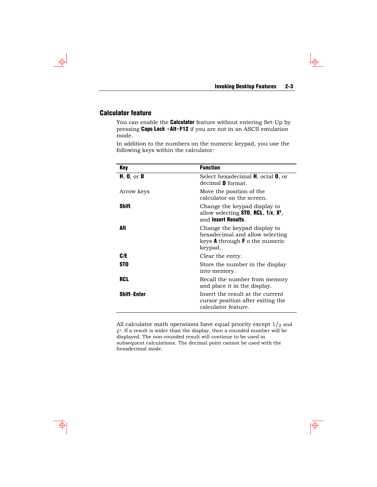$\color{red} \bigoplus$ 

#### Calculator feature

You can enable the **Calculator** feature without entering Set-Up by pressing Caps Lock +Alt+F12 if you are not in an ASCII emulation mode.

In addition to the numbers on the numeric keypad, you use the following keys within the calculator:

| Key                | <b>Function</b>                                                                                                            |
|--------------------|----------------------------------------------------------------------------------------------------------------------------|
| H, $0$ , or $D$    | Select hexadecimal <b>H</b> , octal <b>O</b> , or<br>decimal <b>D</b> format.                                              |
| Arrow keys         | Move the position of the<br>calculator on the screen.                                                                      |
| Shift              | Change the keypad display to<br>allow selecting $ST0$ , RCL, $1/x$ , $X^2$ ,<br>and Insert Results.                        |
| Alt                | Change the keypad display to<br>hexadecimal and allow selecting<br>keys <b>A</b> through <b>F</b> o the numeric<br>keypad. |
| C/E                | Clear the entry.                                                                                                           |
| <b>STO</b>         | Store the number in the display<br>into memory.                                                                            |
| <b>RCL</b>         | Recall the number from memory<br>and place it in the display.                                                              |
| <b>Shift-Enter</b> | Insert the result at the current<br>cursor position after exiting the<br>calculator feature.                               |

All calculator math operations have equal priority except  $1/\chi$  and  $\chi^2$ . If a result is wider than the display, then a rounded number will be displayed. The non-rounded result will continue to be used in subsequent calculations. The decimal point cannot be used with the hexadecimal mode.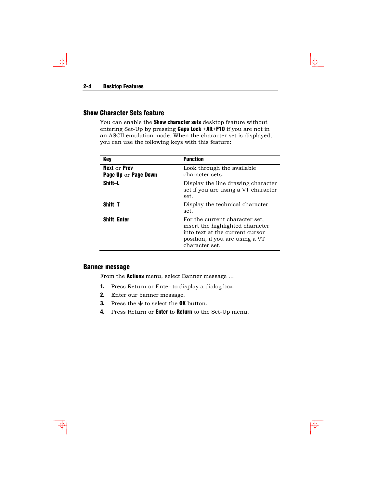$\overline{\bigoplus}$ 

#### Show Character Sets feature

You can enable the **Show character sets** desktop feature without entering Set-Up by pressing Caps Lock +Alt+F10 if you are not in an ASCII emulation mode. When the character set is displayed, you can use the following keys with this feature:

| Kev                                                | <b>Function</b>                                                                                                                                            |
|----------------------------------------------------|------------------------------------------------------------------------------------------------------------------------------------------------------------|
| <b>Next or Prev</b><br><b>Page Up or Page Down</b> | Look through the available<br>character sets.                                                                                                              |
| Shift-L                                            | Display the line drawing character<br>set if you are using a VT character<br>set.                                                                          |
| Shift-T                                            | Display the technical character<br>set.                                                                                                                    |
| <b>Shift-Enter</b>                                 | For the current character set.<br>insert the highlighted character<br>into text at the current cursor<br>position, if you are using a VT<br>character set. |

#### Banner message

From the **Actions** menu, select Banner message ...

- 1. Press Return or Enter to display a dialog box.
- 2. Enter our banner message.
- **3.** Press the  $\blacklozenge$  to select the **OK** button.
- 4. Press Return or **Enter** to **Return** to the Set-Up menu.

 $\Phi$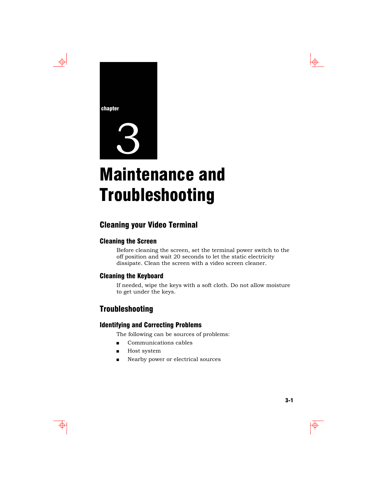



# **Maintenance and** Troubleshooting

# Cleaning your Video Terminal

#### Cleaning the Screen

Before cleaning the screen, set the terminal power switch to the off position and wait 20 seconds to let the static electricity dissipate. Clean the screen with a video screen cleaner.

#### Cleaning the Keyboard

If needed, wipe the keys with a soft cloth. Do not allow moisture to get under the keys.

# Troubleshooting

#### Identifying and Correcting Problems

The following can be sources of problems:

- **Communications cables**
- **Host system**
- Nearby power or electrical sources

 $\color{red} \Phi$ 

 $\Rightarrow$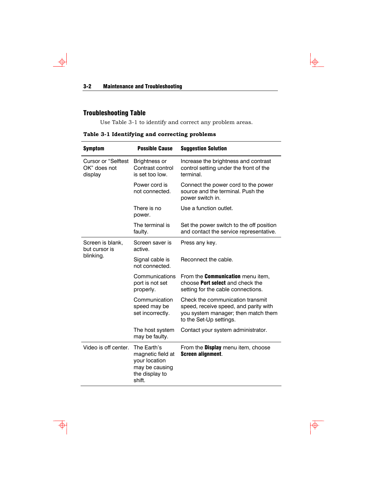# Troubleshooting Table

 $\Rightarrow$ 

Use Table 3-1 to identify and correct any problem areas.

 $\downarrow \phi$ 

 $\overline{\phi}$ 

## **Table 3-1 Identifying and correcting problems**

| <b>Symptom</b>                                        | <b>Possible Cause</b>                                                                           | <b>Suggestion Solution</b>                                                                                                                  |
|-------------------------------------------------------|-------------------------------------------------------------------------------------------------|---------------------------------------------------------------------------------------------------------------------------------------------|
| <b>Cursor or "Selftest</b><br>OK" does not<br>display | Brightness or<br>Contrast control<br>is set too low.                                            | Increase the brightness and contrast<br>control setting under the front of the<br>terminal.                                                 |
|                                                       | Power cord is<br>not connected.                                                                 | Connect the power cord to the power<br>source and the terminal. Push the<br>power switch in.                                                |
|                                                       | There is no<br>power.                                                                           | Use a function outlet.                                                                                                                      |
|                                                       | The terminal is<br>faulty.                                                                      | Set the power switch to the off position<br>and contact the service representative.                                                         |
| Screen is blank,<br>but cursor is                     | Screen saver is<br>active.                                                                      | Press any key.                                                                                                                              |
| blinking.                                             | Signal cable is<br>not connected.                                                               | Reconnect the cable.                                                                                                                        |
|                                                       | Communications<br>port is not set<br>properly.                                                  | From the <b>Communication</b> menu item,<br>choose <b>Port select</b> and check the<br>setting for the cable connections.                   |
|                                                       | Communication<br>speed may be<br>set incorrectly.                                               | Check the communication transmit<br>speed, receive speed, and parity with<br>you system manager; then match them<br>to the Set-Up settings. |
|                                                       | The host system<br>may be faulty.                                                               | Contact your system administrator.                                                                                                          |
| Video is off center.                                  | The Earth's<br>magnetic field at<br>your location<br>may be causing<br>the display to<br>shift. | From the <b>Display</b> menu item, choose<br>Screen alignment.                                                                              |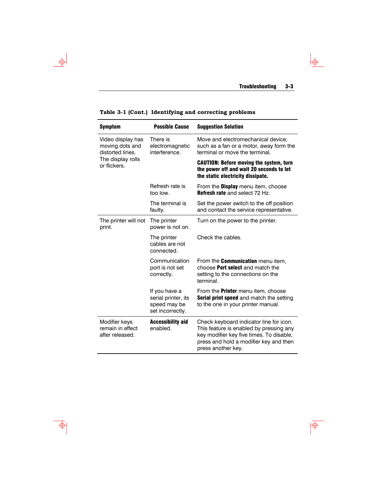$\frac{1}{\frac{1}{2}}$ 

| <b>Symptom</b>                                           | <b>Possible Cause</b>                                                    | <b>Suggestion Solution</b>                                                                                                                                                                     |
|----------------------------------------------------------|--------------------------------------------------------------------------|------------------------------------------------------------------------------------------------------------------------------------------------------------------------------------------------|
| Video display has<br>moving dots and<br>distorted lines. | There is<br>electromagnetic<br>interference.                             | Move and electromechanical device,<br>such as a fan or a motor, away form the<br>terminal or move the terminal.                                                                                |
| The display rolls<br>or flickers.                        |                                                                          | <b>CAUTION: Before moving the system, turn</b><br>the power off and wait 20 seconds to let<br>the static electricity dissipate.                                                                |
|                                                          | Refresh rate is<br>too low.                                              | From the <b>Display</b> menu item, choose<br><b>Refresh rate and select 72 Hz.</b>                                                                                                             |
|                                                          | The terminal is<br>faulty.                                               | Set the power switch to the off position<br>and contact the service representative.                                                                                                            |
| The printer will not<br>print.                           | The printer<br>power is not on.                                          | Turn on the power to the printer.                                                                                                                                                              |
|                                                          | The printer<br>cables are not<br>connected.                              | Check the cables.                                                                                                                                                                              |
|                                                          | Communication<br>port is not set<br>correctly.                           | From the <b>Communication</b> menu item,<br>choose Port select and match the<br>setting to the connections on the<br>terminal.                                                                 |
|                                                          | If you have a<br>serial printer, its<br>speed may be<br>set incorrectly. | From the <b>Printer</b> menu item, choose<br>Serial print speed and match the setting<br>to the one in your printer manual.                                                                    |
| Modifier keys<br>remain in effect<br>after released.     | <b>Accessibility aid</b><br>enabled.                                     | Check keyboard indicator line for icon.<br>This feature is enabled by pressing any<br>key modifier key five times. To disable,<br>press and hold a modifier key and then<br>press another key. |

| Table 3-1 (Cont.) Identifying and correcting problems |  |  |  |
|-------------------------------------------------------|--|--|--|
|-------------------------------------------------------|--|--|--|



 $\Rightarrow$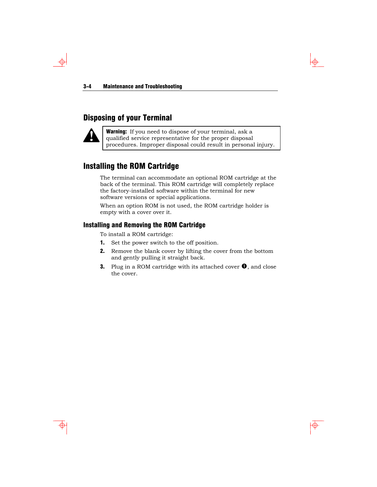# Disposing of your Terminal



 $\phi$ 

Warning: If you need to dispose of your terminal, ask a qualified service representative for the proper disposal procedures. Improper disposal could result in personal injury.

# Installing the ROM Cartridge

The terminal can accommodate an optional ROM cartridge at the back of the terminal. This ROM cartridge will completely replace the factory-installed software within the terminal for new software versions or special applications.

When an option ROM is not used, the ROM cartridge holder is empty with a cover over it.

#### Installing and Removing the ROM Cartridge

To install a ROM cartridge:

- 1. Set the power switch to the off position.
- **2.** Remove the blank cover by lifting the cover from the bottom and gently pulling it straight back.
- **3.** Plug in a ROM cartridge with its attached cover  $\bullet$ , and close the cover.

 $\color{red} \bigoplus$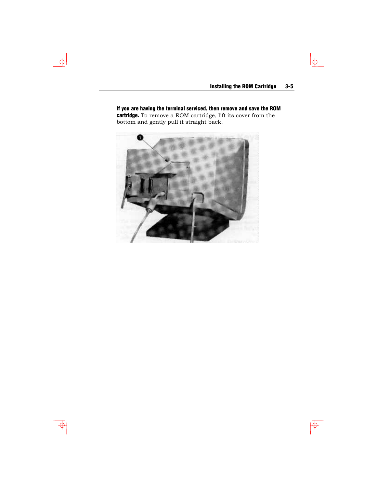$\frac{1}{\pm}$ 

 $\overline{\phi}$ 

If you are having the terminal serviced, then remove and save the ROM **cartridge.** To remove a ROM cartridge, lift its cover from the bottom and gently pull it straight back.



 $\rightarrow$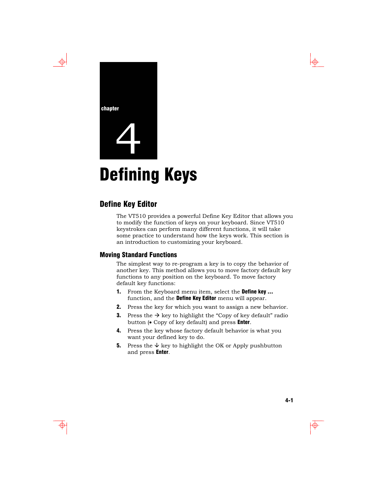



# **Defining Keys**

## Define Key Editor

The VT510 provides a powerful Define Key Editor that allows you to modify the function of keys on your keyboard. Since VT510 keystrokes can perform many different functions, it will take some practice to understand how the keys work. This section is an introduction to customizing your keyboard.

#### Moving Standard Functions

The simplest way to re-program a key is to copy the behavior of another key. This method allows you to move factory default key functions to any position on the keyboard. To move factory default key functions:

- 1. From the Keyboard menu item, select the Define key ... function, and the **Define Key Editor** menu will appear.
- 2. Press the key for which you want to assign a new behavior.
- **3.** Press the  $\rightarrow$  key to highlight the "Copy of key default" radio button ( $\bullet$  Copy of key default) and press **Enter**.
- 4. Press the key whose factory default behavior is what you want your defined key to do.
- **5.** Press the  $\forall$  key to highlight the OK or Apply pushbutton and press Enter.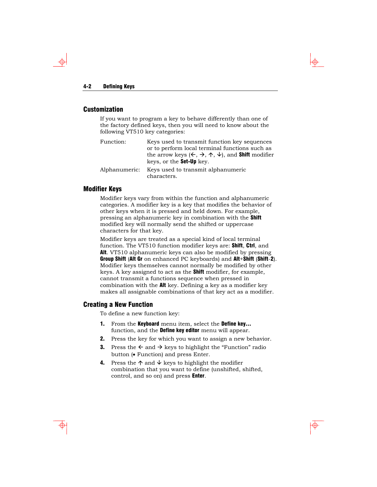#### 4-2 Defining Keys

#### **Customization**

If you want to program a key to behave differently than one of the factory defined keys, then you will need to know about the following VT510 key categories:

| Function:     | Keys used to transmit function key sequences<br>or to perform local terminal functions such as                          |
|---------------|-------------------------------------------------------------------------------------------------------------------------|
|               | the arrow keys $(\Leftarrow, \Rightarrow, \wedge, \psi)$ , and <b>Shift</b> modifier<br>keys, or the <b>Set-Up</b> key. |
| Alphanumeric: | Keys used to transmit alphanumeric<br>characters                                                                        |

Modifier Keys

Modifier keys vary from within the function and alphanumeric categories. A modifier key is a key that modifies the behavior of other keys when it is pressed and held down. For example, pressing an alphanumeric key in combination with the Shift modified key will normally send the shifted or uppercase characters for that key.

Modifier keys are treated as a special kind of local terminal function. The VT510 function modifier keys are: **Shift, Ctrl**, and Alt. VT510 alphanumeric keys can also be modified by pressing Group Shift (Alt Gr on enhanced PC keyboards) and Alt+Shift (Shift-2). Modifier keys themselves cannot normally be modified by other keys. A key assigned to act as the Shift modifier, for example, cannot transmit a functions sequence when pressed in combination with the Alt key. Defining a key as a modifier key makes all assignable combinations of that key act as a modifier.

#### Creating a New Function

To define a new function key:

- 1. From the Keyboard menu item, select the Define key... function, and the Define key editor menu will appear.
- 2. Press the key for which you want to assign a new behavior.
- **3.** Press the  $\leftarrow$  and  $\rightarrow$  keys to highlight the "Function" radio button (• Function) and press Enter.
- **4.** Press the  $\uparrow$  and  $\downarrow$  keys to highlight the modifier combination that you want to define (unshifted, shifted, control, and so on) and press Enter.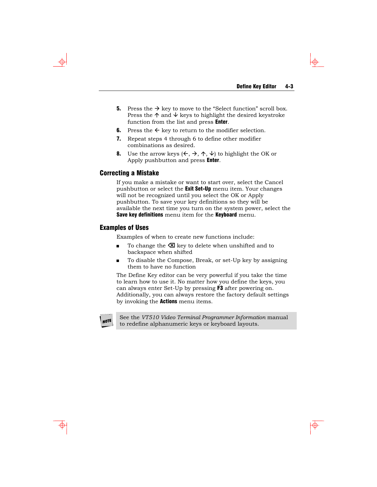- **5.** Press the  $\rightarrow$  key to move to the "Select function" scroll box. Press the  $\uparrow$  and  $\downarrow$  keys to highlight the desired keystroke function from the list and press Enter.
- 6. Press the  $\leftarrow$  key to return to the modifier selection.
- 7. Repeat steps 4 through 6 to define other modifier combinations as desired.
- 8. Use the arrow keys  $(\Leftarrow, \Rightarrow, \uparrow, \downarrow)$  to highlight the OK or Apply pushbutton and press Enter.

#### Correcting a Mistake

If you make a mistake or want to start over, select the Cancel pushbutton or select the **Exit Set-Up** menu item. Your changes will not be recognized until you select the OK or Apply pushbutton. To save your key definitions so they will be available the next time you turn on the system power, select the Save key definitions menu item for the Keyboard menu.

#### Examples of Uses

Examples of when to create new functions include:

- To change the  $\boxtimes$  key to delete when unshifted and to backspace when shifted
- To disable the Compose, Break, or set-Up key by assigning them to have no function

The Define Key editor can be very powerful if you take the time to learn how to use it. No matter how you define the keys, you can always enter Set-Up by pressing F3 after powering on. Additionally, you can always restore the factory default settings by invoking the **Actions** menu items.

NOTE

See the *VT510 Video Terminal Programmer Information* manual to redefine alphanumeric keys or keyboard layouts.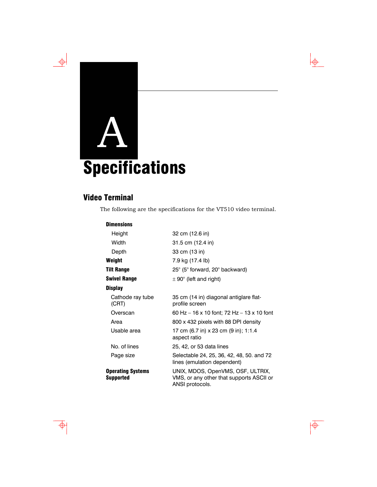# A **Specifications**

# Video Terminal

The following are the specifications for the VT510 video terminal.

#### **Dimensions**

| Height                                | 32 cm (12.6 in)                                                                                  |
|---------------------------------------|--------------------------------------------------------------------------------------------------|
| Width                                 | 31.5 cm (12.4 in)                                                                                |
| Depth                                 | 33 cm (13 in)                                                                                    |
| Weight                                | 7.9 kg (17.4 lb)                                                                                 |
| <b>Tilt Range</b>                     | 25° (5° forward, 20° backward)                                                                   |
| <b>Swivel Range</b>                   | $\pm$ 90 $^{\circ}$ (left and right)                                                             |
| <b>Display</b>                        |                                                                                                  |
| Cathode ray tube<br>(CRT)             | 35 cm (14 in) diagonal antiglare flat-<br>profile screen                                         |
| Overscan                              | 60 Hz – 16 x 10 font; 72 Hz – 13 x 10 font                                                       |
| Area                                  | 800 x 432 pixels with 88 DPI density                                                             |
| Usable area                           | 17 cm (6.7 in) x 23 cm (9 in); 1:1.4<br>aspect ratio                                             |
| No. of lines                          | 25, 42, or 53 data lines                                                                         |
| Page size                             | Selectable 24, 25, 36, 42, 48, 50. and 72<br>lines (emulation dependent)                         |
| <b>Operating Systems</b><br>Supported | UNIX, MDOS, OpenVMS, OSF, ULTRIX,<br>VMS, or any other that supports ASCII or<br>ANSI protocols. |

 $\Rightarrow$ 

 $\downarrow \phi$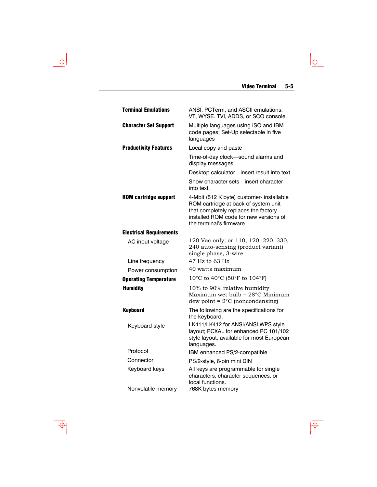$\overline{\phi}$ 

| <b>Terminal Emulations</b>     | ANSI, PCTerm, and ASCII emulations:<br>VT, WYSE. TVI, ADDS, or SCO console.                                                                                                                    |  |  |
|--------------------------------|------------------------------------------------------------------------------------------------------------------------------------------------------------------------------------------------|--|--|
| <b>Character Set Support</b>   | Multiple languages using ISO and IBM<br>code pages; Set-Up selectable in five<br>languages                                                                                                     |  |  |
| <b>Productivity Features</b>   | Local copy and paste                                                                                                                                                                           |  |  |
|                                | Time-of-day clock-sound alarms and<br>display messages                                                                                                                                         |  |  |
|                                | Desktop calculator-insert result into text                                                                                                                                                     |  |  |
|                                | Show character sets-insert character<br>into text.                                                                                                                                             |  |  |
| <b>ROM cartridge support</b>   | 4-Mbit (512 K byte) customer- installable<br>ROM cartridge at back of system unit<br>that completely replaces the factory<br>installed ROM code for new versions of<br>the terminal's firmware |  |  |
| <b>Electrical Requirements</b> |                                                                                                                                                                                                |  |  |
| AC input voltage               | 120 Vac only; or 110, 120, 220, 330,<br>240 auto-sensing (product variant)<br>single phase, 3-wire                                                                                             |  |  |
| Line frequency                 | 47 Hz to 63 Hz                                                                                                                                                                                 |  |  |
| Power consumption              | 40 watts maximum                                                                                                                                                                               |  |  |
| <b>Operating Temperature</b>   | 10°C to 40°C (50°F to 104°F)                                                                                                                                                                   |  |  |
| <b>Humidity</b>                | 10% to 90% relative humidity<br>Maximum wet bulb = $28^{\circ}$ C Minimum<br>dew point = $2^{\circ}$ C (noncondensing)                                                                         |  |  |
| <b>Keyboard</b>                | The following are the specifications for<br>the keyboard.                                                                                                                                      |  |  |
| Keyboard style                 | LK411/LK412 for ANSI/ANSI WPS style<br>layout; PCXAL for enhanced PC 101/102<br>style layout; available for most European<br>languages.                                                        |  |  |
| Protocol                       | IBM enhanced PS/2-compatible                                                                                                                                                                   |  |  |
| Connector                      | PS/2-style, 6-pin mini DIN                                                                                                                                                                     |  |  |
| Keyboard keys                  | All keys are programmable for single<br>characters, character sequences, or<br>local functions.                                                                                                |  |  |
| Nonvolatile memory             | 768K bytes memory                                                                                                                                                                              |  |  |

 $\Rightarrow$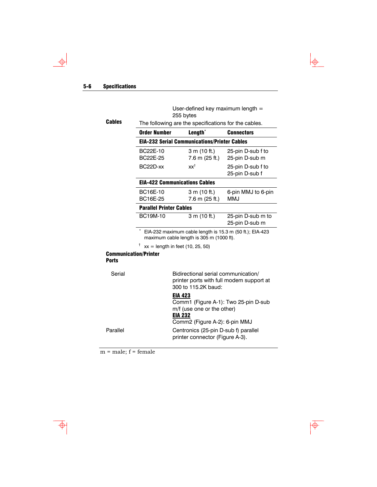#### 5-6 Specifications

 $\rightarrow$ 

User-defined key maximum length = 255 bytes

 $\downarrow \phi$ 

 $\overline{\biguplus}$ 

| Cables | The following are the specifications for the cables. |                                                     |                                     |  |  |  |  |
|--------|------------------------------------------------------|-----------------------------------------------------|-------------------------------------|--|--|--|--|
|        | <b>Order Number</b>                                  | Length <sup>*</sup>                                 | <b>Connectors</b>                   |  |  |  |  |
|        |                                                      | <b>EIA-232 Serial Communications/Printer Cables</b> |                                     |  |  |  |  |
|        | BC22E-10<br>BC22E-25                                 | 3 m (10 ft.)<br>7.6 m (25 ft.)                      | 25-pin D-sub f to<br>25-pin D-sub m |  |  |  |  |
|        | BC22D-xx                                             | $xx^{\dagger}$                                      | 25-pin D-sub f to<br>25-pin D-sub f |  |  |  |  |
|        |                                                      | <b>EIA-422 Communications Cables</b>                |                                     |  |  |  |  |
|        | <b>BC16E-10</b><br>BC16E-25                          | 3 m (10 ft.)<br>7.6 m (25 ft.)                      | 6-pin MMJ to 6-pin<br>MMJ           |  |  |  |  |
|        |                                                      | <b>Parallel Printer Cables</b>                      |                                     |  |  |  |  |
|        | <b>BC19M-10</b>                                      | 3 m (10 ft.)                                        | 25-pin D-sub m to<br>25-pin D-sub m |  |  |  |  |
|        |                                                      |                                                     |                                     |  |  |  |  |

EIA-232 maximum cable length is 15.3 m (50 ft.); EIA-423 maximum cable length is 305 m (1000 ft).

 $\dagger$  xx = length in feet (10, 25, 50)

#### Communication/Printer Ports

| Serial   | Bidirectional serial communication/<br>printer ports with full modem support at<br>300 to 115.2K baud: |  |
|----------|--------------------------------------------------------------------------------------------------------|--|
|          | <b>EIA 423</b>                                                                                         |  |
|          | Comm1 (Figure A-1): Two 25-pin D-sub                                                                   |  |
|          | m/f (use one or the other)                                                                             |  |
|          | <b>EIA 232</b>                                                                                         |  |
|          | Comm2 (Figure A-2): 6-pin MMJ                                                                          |  |
| Parallel | Centronics (25-pin D-sub f) parallel<br>printer connector (Figure A-3).                                |  |

 $m = male; f = female$ 

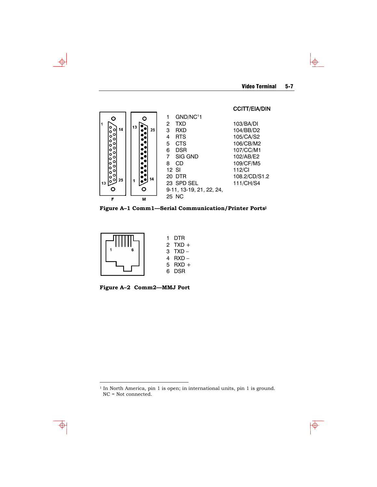$\Phi$ 

#### CCITT/EIA/DIN



**Figure A–1 Comm1—Serial Communication/Printer Portsl** 



**Figure A–2 Comm2—MMJ Port** 

<span id="page-40-0"></span> $^{\rm 1}$  In North America, pin 1 is open; in international units, pin 1 is ground. NC = Not connected.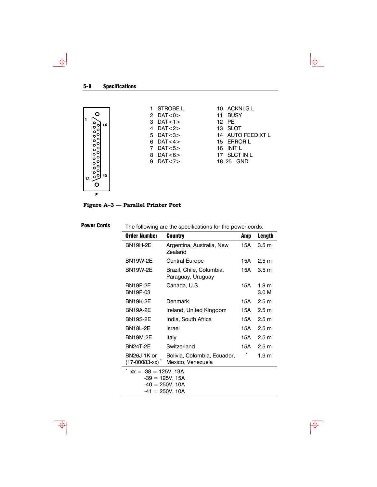$\rightarrow$ 



 $\downarrow \downarrow$ 

 $\overline{\overline{\Phi}}$ 

**Figure A–3 — Parallel Printer Port** 

| <b>Power Cords</b> | The following are the specifications for the power cords. |                                                  |     |                           |  |  |
|--------------------|-----------------------------------------------------------|--------------------------------------------------|-----|---------------------------|--|--|
|                    | <b>Order Number</b><br><b>Country</b><br>Amp              |                                                  |     | Length                    |  |  |
|                    | <b>BN19H-2E</b>                                           | Argentina, Australia, New<br>Zealand             | 15A | 3.5 <sub>m</sub>          |  |  |
|                    | <b>BN19W-2E</b>                                           | Central Europe                                   | 15A | 2.5 <sub>m</sub>          |  |  |
|                    | <b>BN19W-2E</b>                                           | Brazil, Chile, Columbia,<br>Paraguay, Uruguay    | 15A | 3.5 <sub>m</sub>          |  |  |
|                    | <b>BN19P-2E</b><br>BN19P-03                               | Canada, U.S.                                     | 15A | 1.9 <sub>m</sub><br>3.0 M |  |  |
|                    | <b>BN19K-2E</b>                                           | Denmark                                          | 15A | 2.5 <sub>m</sub>          |  |  |
|                    | <b>BN19A-2E</b>                                           | Ireland, United Kingdom                          | 15A | 2.5 m                     |  |  |
|                    | <b>BN19S-2E</b>                                           | India, South Africa                              | 15A | 2.5 <sub>m</sub>          |  |  |
|                    | <b>BN18L-2E</b>                                           | Israel                                           | 15A | 2.5 <sub>m</sub>          |  |  |
|                    | <b>BN19M-2E</b>                                           | Italy                                            | 15A | 2.5 <sub>m</sub>          |  |  |
|                    | <b>BN24T-2E</b>                                           | Switzerland                                      | 15A | 2.5 <sub>m</sub>          |  |  |
|                    | BN26J-1K or<br>(17-00083-xx) *                            | Bolivia, Colombia, Ecuador,<br>Mexico, Venezuela |     | 1.9 <sub>m</sub>          |  |  |
|                    | $xx = -38 = 125V, 13A$                                    |                                                  |     |                           |  |  |
|                    | $-39 = 125V, 15A$<br>$-40 = 250V, 10A$                    |                                                  |     |                           |  |  |
|                    |                                                           | $-41 = 250V, 10A$                                |     |                           |  |  |
|                    |                                                           |                                                  |     |                           |  |  |

 $\Phi$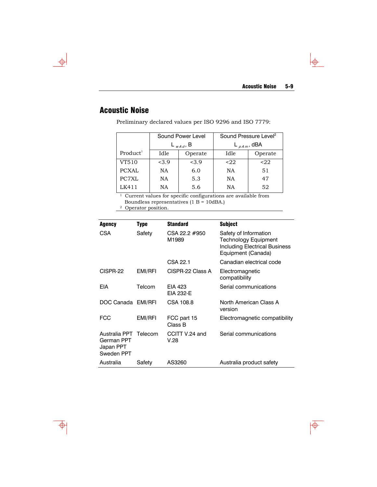$\downarrow \uparrow$ 

 $\overline{\phi}$ 

# Acoustic Noise

 $\Rightarrow$ 

Preliminary declared values per ISO 9296 and ISO 7779:

|                      |                 | Sound Power Level | Sound Pressure Level <sup>2</sup> |         |  |
|----------------------|-----------------|-------------------|-----------------------------------|---------|--|
|                      |                 | $L_{wadd}$ , B    | $L_{pAm}$ , dBA                   |         |  |
| Product <sup>1</sup> | Operate<br>Idle |                   | Idle                              | Operate |  |
| VT510                | <3.9            | <3.9              | $22$                              | $22$    |  |
| <b>PCXAL</b>         | NA              | 6.0               | <b>NA</b>                         | 51      |  |
| PC7XL                | NA              | 5.3               | <b>NA</b>                         | 47      |  |
| LK411                | NA              | 5.6               | ΝA                                | 52      |  |

 $^{\rm 1}$  Current values for specific configurations are available from Boundless representatives (1 B = 10dBA.) 2 Operator position.

| Agency                                                 | Type    | <b>Standard</b>        | Subject                                                                                              |
|--------------------------------------------------------|---------|------------------------|------------------------------------------------------------------------------------------------------|
| <b>CSA</b>                                             | Safety  | CSA 22.2 #950<br>M1989 | Safety of Information<br>Technology Equipment<br>Including Electrical Business<br>Equipment (Canada) |
|                                                        |         | CSA 22.1               | Canadian electrical code                                                                             |
| CISPR-22                                               | EMI/RFI | CISPR-22 Class A       | Electromagnetic<br>compatibility                                                                     |
| <b>EIA</b>                                             | Telcom  | EIA 423<br>EIA 232-E   | Serial communications                                                                                |
| DOC Canada EMI/RFI                                     |         | CSA 108.8              | North American Class A<br>version                                                                    |
| <b>FCC</b>                                             | EMI/RFI | FCC part 15<br>Class B | Electromagnetic compatibility                                                                        |
| Australia PPT<br>German PPT<br>Japan PPT<br>Sweden PPT | Telecom | CCITT V.24 and<br>V.28 | Serial communications                                                                                |
| Australia                                              | Safety  | AS3260                 | Australia product safety                                                                             |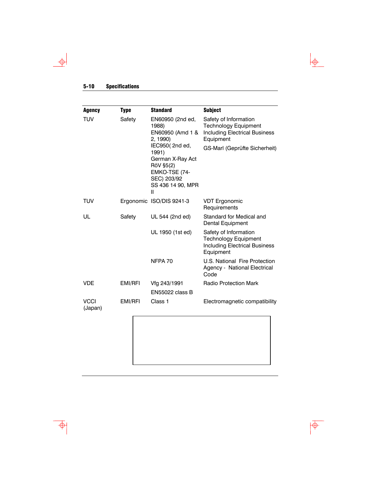#### 5-10 Specifications

 $\rightarrow$ 

 $\overline{\Phi}$ 

| Agency                 | <b>Type</b> | <b>Standard</b>                                                                                                                                                                             | <b>Subject</b>                                                                                                                             |  |
|------------------------|-------------|---------------------------------------------------------------------------------------------------------------------------------------------------------------------------------------------|--------------------------------------------------------------------------------------------------------------------------------------------|--|
| <b>TUV</b><br>Safety   |             | EN60950 (2nd ed,<br>1988)<br>EN60950 (Amd 1 &<br>2, 1990)<br>IEC950(2nd ed,<br>1991)<br>German X-Ray Act<br>RöV §5(2)<br>EMKO-TSE (74-<br>SEC) 203/92<br>SS 436 14 90, MPR<br>$\mathsf{II}$ | Safety of Information<br><b>Technology Equipment</b><br><b>Including Electrical Business</b><br>Equipment<br>GS-Marl (Geprüfte Sicherheit) |  |
| TUV                    |             | Ergonomic ISO/DIS 9241-3                                                                                                                                                                    | <b>VDT Ergonomic</b><br>Requirements                                                                                                       |  |
| UL                     | Safety      | UL 544 (2nd ed)                                                                                                                                                                             | Standard for Medical and<br>Dental Equipment                                                                                               |  |
|                        |             | UL 1950 (1st ed)                                                                                                                                                                            | Safety of Information<br><b>Technology Equipment</b><br><b>Including Electrical Business</b><br>Equipment                                  |  |
|                        |             | NFPA 70                                                                                                                                                                                     | U.S. National Fire Protection<br>Agency - National Electrical<br>Code                                                                      |  |
| <b>VDE</b>             | EMI/RFI     | Vfg 243/1991<br><b>EN55022 class B</b>                                                                                                                                                      | <b>Radio Protection Mark</b>                                                                                                               |  |
| <b>VCCI</b><br>(Japan) | EMI/RFI     | Class 1                                                                                                                                                                                     | Electromagnetic compatibility                                                                                                              |  |

 $\overline{\bigtriangledown}$ 

 $\frac{1}{\Phi}$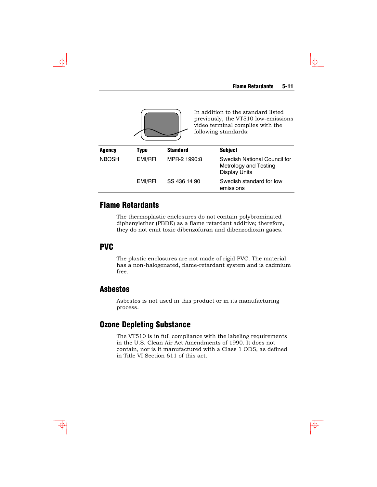

## Flame Retardants

The thermoplastic enclosures do not contain polybrominated diphenylether (PBDE) as a flame retardant additive; therefore, they do not emit toxic dibenzofuran and dibenzodioxin gases.

#### PVC

The plastic enclosures are not made of rigid PVC. The material has a non-halogenated, flame-retardant system and is cadmium free.

## Asbestos

Asbestos is not used in this product or in its manufacturing process.

#### Ozone Depleting Substance

The VT510 is in full compliance with the labeling requirements in the U.S. Clean Air Act Amendments of 1990. It does not contain, nor is it manufactured with a Class 1 ODS, as defined in Title VI Section 611 of this act.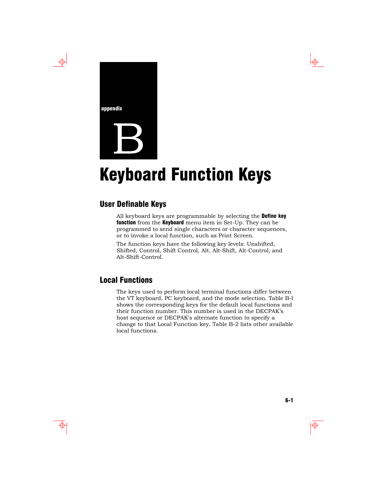

 $\overline{\bigoplus}$ 

# **Keyboard Function Keys**

# User Definable Keys

All keyboard keys are programmable by selecting the Define key function from the Keyboard menu item in Set-Up. They can be programmed to send single characters or character sequences, or to invoke a local function, such as Print Screen.

The function keys have the following key levels: Unshifted, Shifted, Control, Shift Control, Alt, Alt-Shift, Alt-Control, and Alt-Shift-Control.

## Local Functions

The keys used to perform local terminal functions differ between the VT keyboard, PC keyboard, and the mode selection. Table B-l shows the corresponding keys for the default local functions and their function number. This number is used in the DECPAK's host sequence or DECPAK's alternate function to specify a change to that Local Function key. Table B-2 lists other available local functions.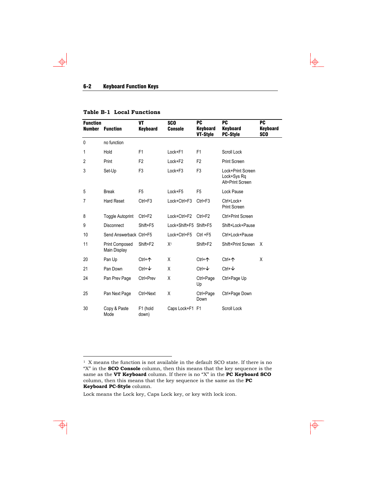#### 6-2 Keyboard Function Keys

 $\Rightarrow$ 

#### **Table B-1 Local Functions**

| <b>Function</b><br><b>Number</b> | <b>Function</b>                       | VT<br><b>Keyboard</b> | <b>SCO</b><br><b>Console</b> | <b>PC</b><br>Keyboard<br>VT-Style | <b>PC</b><br><b>Keyboard</b><br><b>PC-Style</b>      | <b>PC</b><br>Keyboard<br><b>SCO</b> |
|----------------------------------|---------------------------------------|-----------------------|------------------------------|-----------------------------------|------------------------------------------------------|-------------------------------------|
| $\mathbf{0}$                     | no function                           |                       |                              |                                   |                                                      |                                     |
| 1                                | Hold                                  | F1                    | Lock+F1                      | F <sub>1</sub>                    | Scroll Lock                                          |                                     |
| 2                                | Print                                 | F <sub>2</sub>        | Lock+F2                      | F <sub>2</sub>                    | <b>Print Screen</b>                                  |                                     |
| 3                                | Set-Up                                | F <sub>3</sub>        | Lock+F3                      | F <sub>3</sub>                    | Lock+Print Screen<br>Lock+Sys Rq<br>Alt+Print Screen |                                     |
| 5                                | <b>Break</b>                          | F <sub>5</sub>        | Lock+F5                      | F <sub>5</sub>                    | Lock Pause                                           |                                     |
| 7                                | <b>Hard Reset</b>                     | $Ctrl + F3$           | Lock+Ctrl+F3                 | $Ctrl + F3$                       | Ctrl+Lock+<br><b>Print Screen</b>                    |                                     |
| 8                                | <b>Toggle Autoprint</b>               | Ctrl+F2               | Lock+Ctrl+F2                 | $Ctrl + F2$                       | Ctrl+Print Screen                                    |                                     |
| 9                                | <b>Disconnect</b>                     | Shift+F5              | Lock+Shift+F5 Shift+F5       |                                   | Shift+Lock+Pause                                     |                                     |
| 10                               | Send Answerback Ctrl+F5               |                       | Lock+Ctrl+F5                 | $Ctrl + F5$                       | Ctrl+Lock+Pause                                      |                                     |
| 11                               | <b>Print Composed</b><br>Main Display | Shift+F2              | X <sup>1</sup>               | Shift+F2                          | Shift+Print Screen                                   | Χ                                   |
| 20                               | Pan Up                                | $Ctrl + \n{\uparrow}$ | X                            | $Ctrl + \n{\uparrow}$             | Ctrl+个                                               | X                                   |
| 21                               | Pan Down                              | $Ctrl + \nabla$       | X                            | $Ctrl + \nabla$                   | $Ctrl + \nabla$                                      |                                     |
| 24                               | Pan Prev Page                         | Ctrl+Prev             | X                            | Ctrl+Page<br>Up                   | Ctrl+Page Up                                         |                                     |
| 25                               | Pan Next Page                         | Ctrl+Next             | Χ                            | Ctrl+Page<br>Down                 | Ctrl+Page Down                                       |                                     |
| 30                               | Copy & Paste<br>Mode                  | F1 (hold<br>down)     | Caps Lock+F1 F1              |                                   | Scroll Lock                                          |                                     |

 $\downarrow \phi$ 

 $\overline{\overline{\Phi}}$ 

Lock means the Lock key, Caps Lock key, or key with lock icon.

<span id="page-47-0"></span> $^{\rm 1}$  X means the function is not available in the default SCO state. If there is no "X" in the **SCO Console** column, then this means that the key sequence is the same as the **VT Keyboard** column. If there is no "X" in the **PC Keyboard SCO** column, then this means that the key sequence is the same as the **PC Keyboard PC-Style** column.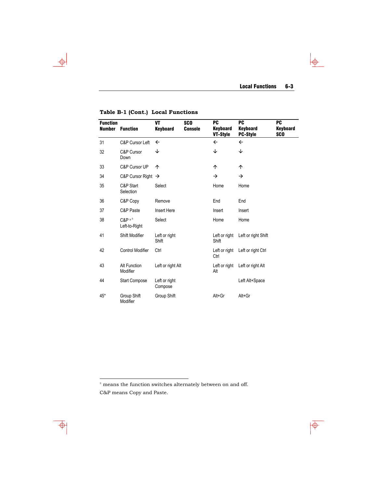$\frac{1}{2}$ 

 $\overline{\phi}$ 

| <b>Function</b><br><b>Number</b> | <b>Function</b>                 | VT<br><b>Keyboard</b>    | <b>SCO</b><br><b>Console</b> | <b>PC</b><br><b>Keyboard</b><br>VT-Style | <b>PC</b><br><b>Keyboard</b><br><b>PC-Style</b> | <b>PC</b><br><b>Keyboard</b><br><b>SCO</b> |
|----------------------------------|---------------------------------|--------------------------|------------------------------|------------------------------------------|-------------------------------------------------|--------------------------------------------|
| 31                               | C&P Cursor Left                 | $\leftarrow$             |                              | $\leftarrow$                             | $\leftarrow$                                    |                                            |
| 32                               | C&P Cursor<br>Down              | ↓                        |                              | ↓                                        | ↓                                               |                                            |
| 33                               | C&P Cursor UP                   | ↑                        |                              | 个                                        | 个                                               |                                            |
| 34                               | C&P Cursor Right $\rightarrow$  |                          |                              | $\rightarrow$                            | $\rightarrow$                                   |                                            |
| 35                               | C&P Start<br>Selection          | Select                   |                              | Home                                     | Home                                            |                                            |
| 36                               | C&P Copy                        | Remove                   |                              | End                                      | End                                             |                                            |
| 37                               | C&P Paste                       | Insert Here              |                              | Insert                                   | Insert                                          |                                            |
| 38                               | $C\&P x^{\pm}$<br>Left-to-Right | Select                   |                              | Home                                     | Home                                            |                                            |
| 41                               | Shift Modifier                  | Left or right<br>Shift   |                              | Left or right<br>Shift                   | Left or right Shift                             |                                            |
| 42                               | <b>Control Modifier</b>         | Ctrl                     |                              | Left or right<br>Ctrl                    | Left or right Ctrl                              |                                            |
| 43                               | Alt Function<br>Modifier        | Left or right Alt        |                              | Left or right<br>Alt                     | Left or right Alt                               |                                            |
| 44                               | <b>Start Compose</b>            | Left or right<br>Compose |                              |                                          | Left Alt+Space                                  |                                            |
| 45*                              | Group Shift<br>Modifier         | Group Shift              |                              | Alt+Gr                                   | Alt+Gr                                          |                                            |

**Table B-1 (Cont.) Local Functions** 

 $\Rightarrow$ 

j

<span id="page-48-0"></span><sup>±</sup> means the function switches alternately between on and off. C&P means Copy and Paste.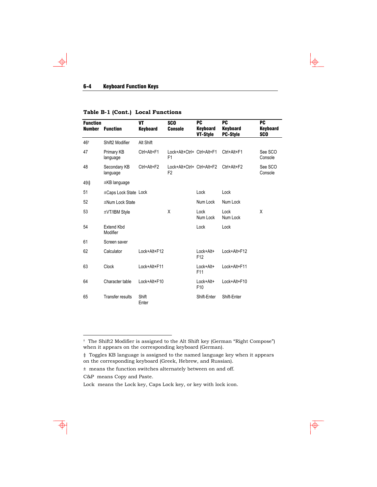#### 6-4 Keyboard Function Keys

 $\Rightarrow$ 

#### **Table B-1 (Cont.) Local Functions**

| <b>Function</b><br><b>Number</b> | <b>Function</b>               | VT<br><b>Keyboard</b> | <b>SCO</b><br><b>Console</b>                 | PC<br>Keyboard<br>VT-Style        | <b>PC</b><br><b>Keyboard</b><br><b>PC-Style</b> | <b>PC</b><br>Keyboard<br><b>SCO</b> |
|----------------------------------|-------------------------------|-----------------------|----------------------------------------------|-----------------------------------|-------------------------------------------------|-------------------------------------|
| 46 <sup>+</sup>                  | Shift2 Modifier               | Alt Shift             |                                              |                                   |                                                 |                                     |
| 47                               | Primary KB<br>language        | Ctrl+Alt+F1           | Lock+Alt+Ctrl+ Ctrl+Alt+F1<br>F <sub>1</sub> |                                   | Ctrl+Alt+F1                                     | See SCO<br>Console                  |
| 48                               | Secondary KB<br>language      | Ctrl+Alt+F2           | Lock+Alt+Ctrl+ Ctrl+Alt+F2<br>F <sub>2</sub> |                                   | Ctrl+Alt+F2                                     | See SCO<br>Console                  |
| 49‡                              | $\pm$ KB language             |                       |                                              |                                   |                                                 |                                     |
| 51                               | ±Caps Lock State Lock         |                       |                                              | Lock                              | Lock                                            |                                     |
| 52                               | ±Num Lock State               |                       |                                              | Num Lock                          | Num Lock                                        |                                     |
| 53                               | ±VT/IBM Style                 |                       | X                                            | Lock<br>Num Lock                  | Lock<br>Num Lock                                | X                                   |
| 54                               | <b>Extend Kbd</b><br>Modifier |                       |                                              | Lock                              | Lock                                            |                                     |
| 61                               | Screen saver                  |                       |                                              |                                   |                                                 |                                     |
| 62                               | Calculator                    | Lock+Alt+F12          |                                              | $Lock + Alt +$<br>F <sub>12</sub> | Lock+Alt+F12                                    |                                     |
| 63                               | <b>Clock</b>                  | Lock+Alt+F11          |                                              | Lock+Alt+<br>F11                  | Lock+Alt+F11                                    |                                     |
| 64                               | Character table               | Lock+Alt+F10          |                                              | Lock+Alt+<br>F <sub>10</sub>      | Lock+Alt+F10                                    |                                     |
| 65                               | <b>Transfer results</b>       | Shift<br>Enter        |                                              | Shift-Enter                       | Shift-Enter                                     |                                     |

 $\downarrow$ 

 $\overline{\dagger}$ 

C&P means Copy and Paste.

<span id="page-49-0"></span> <sup>†</sup> The Shift2 Modifier is assigned to the Alt Shift key (German "Right Compose") when it appears on the corresponding keyboard (German).

<sup>‡</sup> Toggles KB language is assigned to the named language key when it appears on the corresponding keyboard (Greek, Hebrew, and Russian).

 $\pm\,$  means the function switches alternately between on and off.

Lock means the Lock key, Caps Lock key, or key with lock icon.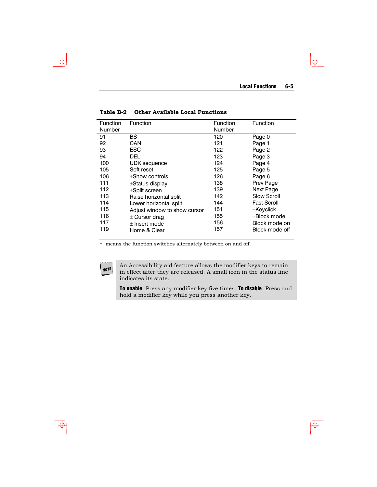$\downarrow$ 

 $\overline{\overline{\Phi}}$ 

| Function | Function                     | Function | Function           |
|----------|------------------------------|----------|--------------------|
| Number   |                              | Number   |                    |
| 91       | BS.                          | 120      | Page 0             |
| 92       | CAN                          | 121      | Page 1             |
| 93       | <b>ESC</b>                   | 122      | Page 2             |
| 94       | DEL                          | 123      | Page 3             |
| 100      | <b>UDK</b> sequence          | 124      | Page 4             |
| 105      | Soft reset                   | 125      | Page 5             |
| 106      | $\pm$ Show controls          | 126      | Page 6             |
| 111      | $\pm$ Status display         | 138      | Prev Page          |
| 112      | $\pm$ Split screen           | 139      | Next Page          |
| 113      | Raise horizontal split       | 142      | Slow Scroll        |
| 114      | Lower horizontal split       | 144      | <b>Fast Scroll</b> |
| 115      | Adjust window to show cursor | 151      | $\pm$ Keyclick     |
| 116      | $\pm$ Cursor drag            | 155      | +Block mode        |
| 117      | $\pm$ Insert mode            | 156      | Block mode on      |
| 119      | Home & Clear                 | 157      | Block mode off     |

**Table B-2 Other Available Local Functions** 

± means the function switches alternately between on and off.

NOTE

An Accessibility aid feature allows the modifier keys to remain in effect after they are released. A small icon in the status line indicates its state.

To enable: Press any modifier key five times. To disable: Press and hold a modifier key while you press another key.

 $\Rightarrow$